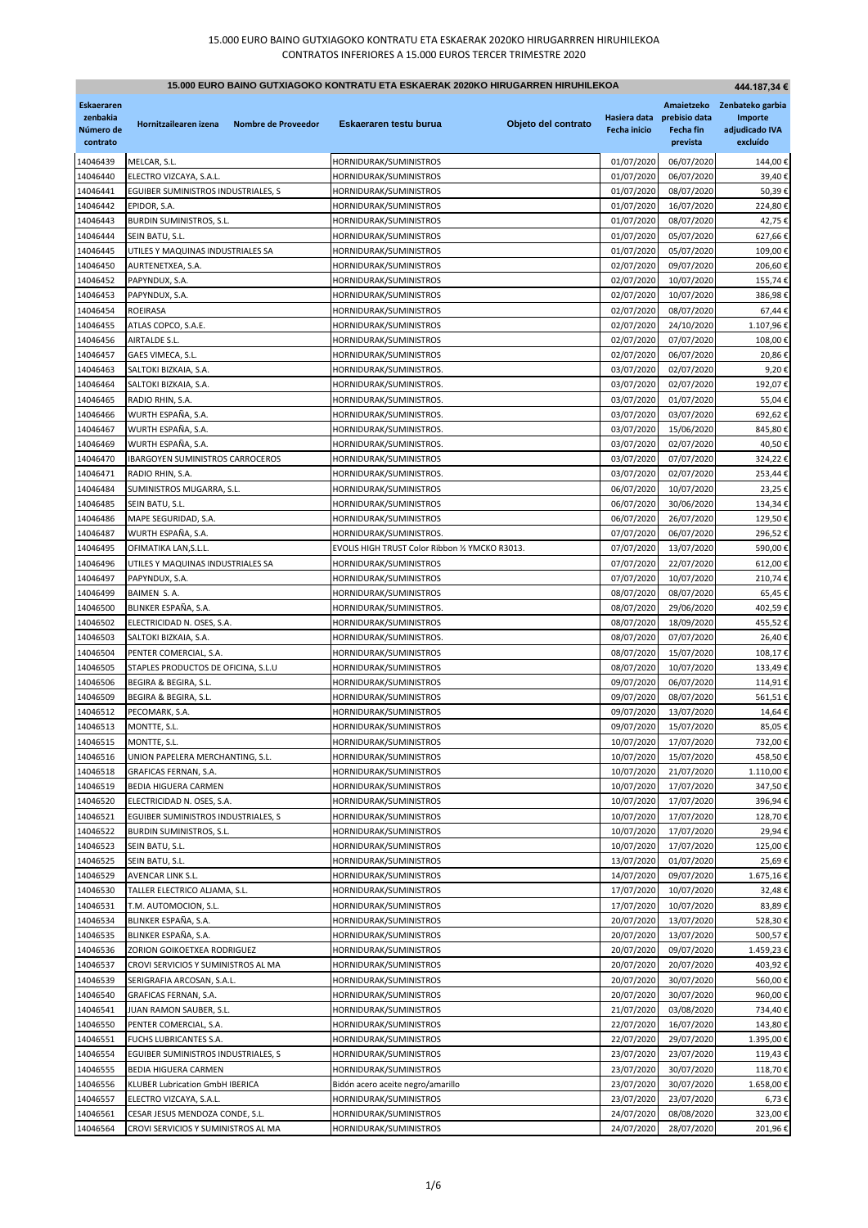| 15.000 EURO BAINO GUTXIAGOKO KONTRATU ETA ESKAERAK 2020KO HIRUGARREN HIRUHILEKOA<br>444.187,34 € |                                                     |                     |                                                  |                     |                                     |                                               |                                                                      |
|--------------------------------------------------------------------------------------------------|-----------------------------------------------------|---------------------|--------------------------------------------------|---------------------|-------------------------------------|-----------------------------------------------|----------------------------------------------------------------------|
| <b>Eskaeraren</b><br>zenbakia<br>Número de<br>contrato                                           | Hornitzailearen izena                               | Nombre de Proveedor | Eskaeraren testu burua                           | Objeto del contrato | Hasiera data<br><b>Fecha inicio</b> | prebisio data<br><b>Fecha fin</b><br>prevista | Amaietzeko Zenbateko garbia<br>Importe<br>adjudicado IVA<br>excluído |
| 14046439                                                                                         | MELCAR, S.L.                                        |                     | HORNIDURAK/SUMINISTROS                           |                     | 01/07/2020                          | 06/07/2020                                    | 144,00€                                                              |
| 14046440                                                                                         | ELECTRO VIZCAYA, S.A.L.                             |                     | HORNIDURAK/SUMINISTROS                           |                     | 01/07/2020                          | 06/07/2020                                    | 39,40€                                                               |
| 14046441                                                                                         | EGUIBER SUMINISTROS INDUSTRIALES, S                 |                     | HORNIDURAK/SUMINISTROS                           |                     | 01/07/2020                          | 08/07/2020                                    | 50,39€                                                               |
| 14046442                                                                                         | EPIDOR, S.A.                                        |                     | HORNIDURAK/SUMINISTROS                           |                     | 01/07/2020                          | 16/07/2020                                    | 224,80€                                                              |
| 14046443                                                                                         | <b>BURDIN SUMINISTROS, S.L.</b>                     |                     | HORNIDURAK/SUMINISTROS                           |                     | 01/07/2020                          | 08/07/2020                                    | 42,75€                                                               |
| 14046444                                                                                         | SEIN BATU, S.L.                                     |                     | HORNIDURAK/SUMINISTROS                           |                     | 01/07/2020                          | 05/07/2020                                    | 627,66€                                                              |
| 14046445                                                                                         | UTILES Y MAQUINAS INDUSTRIALES SA                   |                     | HORNIDURAK/SUMINISTROS                           |                     | 01/07/2020                          | 05/07/2020                                    | 109,00€                                                              |
| 14046450                                                                                         | AURTENETXEA, S.A.                                   |                     | HORNIDURAK/SUMINISTROS                           |                     | 02/07/2020                          | 09/07/2020                                    | 206,60€                                                              |
| 14046452                                                                                         | PAPYNDUX, S.A.                                      |                     | HORNIDURAK/SUMINISTROS                           |                     | 02/07/2020                          | 10/07/2020                                    | 155,74€                                                              |
| 14046453<br>14046454                                                                             | PAPYNDUX, S.A.<br>ROEIRASA                          |                     | HORNIDURAK/SUMINISTROS                           |                     | 02/07/2020<br>02/07/2020            | 10/07/2020<br>08/07/2020                      | 386,98€<br>67,44€                                                    |
| 14046455                                                                                         | ATLAS COPCO, S.A.E.                                 |                     | HORNIDURAK/SUMINISTROS<br>HORNIDURAK/SUMINISTROS |                     | 02/07/2020                          | 24/10/2020                                    | 1.107,96€                                                            |
| 14046456                                                                                         | AIRTALDE S.L.                                       |                     | HORNIDURAK/SUMINISTROS                           |                     | 02/07/2020                          | 07/07/2020                                    | 108,00€                                                              |
| 14046457                                                                                         | GAES VIMECA, S.L.                                   |                     | HORNIDURAK/SUMINISTROS                           |                     | 02/07/2020                          | 06/07/2020                                    | 20,86€                                                               |
| 14046463                                                                                         | SALTOKI BIZKAIA, S.A.                               |                     | HORNIDURAK/SUMINISTROS.                          |                     | 03/07/2020                          | 02/07/2020                                    | 9,20€                                                                |
| 14046464                                                                                         | SALTOKI BIZKAIA, S.A.                               |                     | HORNIDURAK/SUMINISTROS.                          |                     | 03/07/2020                          | 02/07/2020                                    | 192,07€                                                              |
| 14046465                                                                                         | RADIO RHIN, S.A.                                    |                     | HORNIDURAK/SUMINISTROS.                          |                     | 03/07/2020                          | 01/07/2020                                    | 55,04€                                                               |
| 14046466                                                                                         | WURTH ESPAÑA, S.A.                                  |                     | HORNIDURAK/SUMINISTROS.                          |                     | 03/07/2020                          | 03/07/2020                                    | 692,62€                                                              |
| 14046467                                                                                         | WURTH ESPAÑA, S.A.                                  |                     | HORNIDURAK/SUMINISTROS.                          |                     | 03/07/2020                          | 15/06/2020                                    | 845,80€                                                              |
| 14046469                                                                                         | WURTH ESPAÑA, S.A.                                  |                     | HORNIDURAK/SUMINISTROS.                          |                     | 03/07/2020                          | 02/07/2020                                    | 40,50€                                                               |
| 14046470                                                                                         | <b>IBARGOYEN SUMINISTROS CARROCEROS</b>             |                     | HORNIDURAK/SUMINISTROS                           |                     | 03/07/2020                          | 07/07/2020                                    | 324,22€                                                              |
| 14046471                                                                                         | RADIO RHIN, S.A.                                    |                     | HORNIDURAK/SUMINISTROS.                          |                     | 03/07/2020                          | 02/07/2020                                    | 253,44€                                                              |
| 14046484                                                                                         | SUMINISTROS MUGARRA, S.L.                           |                     | HORNIDURAK/SUMINISTROS                           |                     | 06/07/2020                          | 10/07/2020                                    | 23,25€                                                               |
| 14046485                                                                                         | SEIN BATU, S.L.                                     |                     | HORNIDURAK/SUMINISTROS                           |                     | 06/07/2020                          | 30/06/2020                                    | 134,34€                                                              |
| 14046486                                                                                         | MAPE SEGURIDAD, S.A.                                |                     | HORNIDURAK/SUMINISTROS                           |                     | 06/07/2020                          | 26/07/2020                                    | 129,50€                                                              |
| 14046487                                                                                         | WURTH ESPAÑA, S.A.                                  |                     | HORNIDURAK/SUMINISTROS.                          |                     | 07/07/2020                          | 06/07/2020                                    | 296,52€                                                              |
| 14046495                                                                                         | OFIMATIKA LAN, S.L.L.                               |                     | EVOLIS HIGH TRUST Color Ribbon 1/2 YMCKO R3013.  |                     | 07/07/2020                          | 13/07/2020<br>22/07/2020                      | 590,00€                                                              |
| 14046496<br>14046497                                                                             | UTILES Y MAQUINAS INDUSTRIALES SA<br>PAPYNDUX, S.A. |                     | HORNIDURAK/SUMINISTROS<br>HORNIDURAK/SUMINISTROS |                     | 07/07/2020<br>07/07/2020            | 10/07/2020                                    | 612,00€<br>210,74€                                                   |
| 14046499                                                                                         | BAIMEN S.A.                                         |                     | HORNIDURAK/SUMINISTROS                           |                     | 08/07/2020                          | 08/07/2020                                    | 65,45€                                                               |
| 14046500                                                                                         | BLINKER ESPAÑA, S.A.                                |                     | HORNIDURAK/SUMINISTROS.                          |                     | 08/07/2020                          | 29/06/2020                                    | 402,59€                                                              |
| 14046502                                                                                         | ELECTRICIDAD N. OSES, S.A.                          |                     | HORNIDURAK/SUMINISTROS                           |                     | 08/07/2020                          | 18/09/2020                                    | 455,52€                                                              |
| 14046503                                                                                         | SALTOKI BIZKAIA, S.A.                               |                     | HORNIDURAK/SUMINISTROS.                          |                     | 08/07/2020                          | 07/07/2020                                    | 26,40€                                                               |
| 14046504                                                                                         | PENTER COMERCIAL, S.A.                              |                     | HORNIDURAK/SUMINISTROS                           |                     | 08/07/2020                          | 15/07/2020                                    | 108,17€                                                              |
| 14046505                                                                                         | STAPLES PRODUCTOS DE OFICINA, S.L.U                 |                     | HORNIDURAK/SUMINISTROS                           |                     | 08/07/2020                          | 10/07/2020                                    | 133,49€                                                              |
| 14046506                                                                                         | BEGIRA & BEGIRA, S.L.                               |                     | HORNIDURAK/SUMINISTROS                           |                     | 09/07/2020                          | 06/07/2020                                    | 114,91€                                                              |
| 14046509                                                                                         | BEGIRA & BEGIRA, S.L.                               |                     | HORNIDURAK/SUMINISTROS                           |                     | 09/07/2020                          | 08/07/2020                                    | 561,51€                                                              |
| 14046512                                                                                         | PECOMARK, S.A.                                      |                     | HORNIDURAK/SUMINISTROS                           |                     | 09/07/2020                          | 13/07/2020                                    | 14,64€                                                               |
| 14046513                                                                                         | MONTTE, S.L.                                        |                     | HORNIDURAK/SUMINISTROS                           |                     | 09/07/2020                          | 15/07/2020                                    | 85,05€                                                               |
| 14046515                                                                                         | MONTTE, S.L.                                        |                     | HORNIDURAK/SUMINISTROS                           |                     | 10/07/2020                          | 17/07/2020                                    | 732,00€                                                              |
| 14046516                                                                                         | UNION PAPELERA MERCHANTING, S.L.                    |                     | HORNIDURAK/SUMINISTROS                           |                     | 10/07/2020                          | 15/07/2020                                    | 458,50€<br>1.110,00€                                                 |
| 14046518                                                                                         | GRAFICAS FERNAN, S.A.                               |                     | HORNIDURAK/SUMINISTROS<br>HORNIDURAK/SUMINISTROS |                     | 10/07/2020                          | 21/07/2020<br>17/07/2020                      |                                                                      |
| 14046519<br>14046520                                                                             | BEDIA HIGUERA CARMEN<br>ELECTRICIDAD N. OSES, S.A.  |                     | HORNIDURAK/SUMINISTROS                           |                     | 10/07/2020<br>10/07/2020            | 17/07/2020                                    | 347,50€<br>396,94€                                                   |
| 14046521                                                                                         | EGUIBER SUMINISTROS INDUSTRIALES, S                 |                     | HORNIDURAK/SUMINISTROS                           |                     | 10/07/2020                          | 17/07/2020                                    | 128,70€                                                              |
| 14046522                                                                                         | BURDIN SUMINISTROS, S.L.                            |                     | HORNIDURAK/SUMINISTROS                           |                     | 10/07/2020                          | 17/07/2020                                    | 29,94€                                                               |
| 14046523                                                                                         | SEIN BATU, S.L.                                     |                     | HORNIDURAK/SUMINISTROS                           |                     | 10/07/2020                          | 17/07/2020                                    | 125,00€                                                              |
| 14046525                                                                                         | SEIN BATU, S.L.                                     |                     | HORNIDURAK/SUMINISTROS                           |                     | 13/07/2020                          | 01/07/2020                                    | 25,69€                                                               |
| 14046529                                                                                         | AVENCAR LINK S.L.                                   |                     | HORNIDURAK/SUMINISTROS                           |                     | 14/07/2020                          | 09/07/2020                                    | 1.675,16€                                                            |
| 14046530                                                                                         | TALLER ELECTRICO ALJAMA, S.L.                       |                     | HORNIDURAK/SUMINISTROS                           |                     | 17/07/2020                          | 10/07/2020                                    | 32,48€                                                               |
| 14046531                                                                                         | T.M. AUTOMOCION, S.L.                               |                     | HORNIDURAK/SUMINISTROS                           |                     | 17/07/2020                          | 10/07/2020                                    | 83,89€                                                               |
| 14046534                                                                                         | BLINKER ESPAÑA, S.A.                                |                     | HORNIDURAK/SUMINISTROS                           |                     | 20/07/2020                          | 13/07/2020                                    | 528,30€                                                              |
| 14046535                                                                                         | BLINKER ESPAÑA, S.A.                                |                     | HORNIDURAK/SUMINISTROS                           |                     | 20/07/2020                          | 13/07/2020                                    | 500,57€                                                              |
| 14046536                                                                                         | ZORION GOIKOETXEA RODRIGUEZ                         |                     | HORNIDURAK/SUMINISTROS                           |                     | 20/07/2020                          | 09/07/2020                                    | 1.459,23€                                                            |
| 14046537                                                                                         | CROVI SERVICIOS Y SUMINISTROS AL MA                 |                     | HORNIDURAK/SUMINISTROS                           |                     | 20/07/2020                          | 20/07/2020                                    | 403,92€                                                              |
| 14046539                                                                                         | SERIGRAFIA ARCOSAN, S.A.L.                          |                     | HORNIDURAK/SUMINISTROS                           |                     | 20/07/2020                          | 30/07/2020                                    | 560,00€                                                              |
| 14046540<br>14046541                                                                             | GRAFICAS FERNAN, S.A.<br>JUAN RAMON SAUBER, S.L.    |                     | HORNIDURAK/SUMINISTROS<br>HORNIDURAK/SUMINISTROS |                     | 20/07/2020<br>21/07/2020            | 30/07/2020<br>03/08/2020                      | 960,00€<br>734,40€                                                   |
| 14046550                                                                                         | PENTER COMERCIAL, S.A.                              |                     | HORNIDURAK/SUMINISTROS                           |                     | 22/07/2020                          | 16/07/2020                                    | 143,80€                                                              |
| 14046551                                                                                         | FUCHS LUBRICANTES S.A.                              |                     | HORNIDURAK/SUMINISTROS                           |                     | 22/07/2020                          | 29/07/2020                                    | 1.395,00€                                                            |
| 14046554                                                                                         | EGUIBER SUMINISTROS INDUSTRIALES, S                 |                     | HORNIDURAK/SUMINISTROS                           |                     | 23/07/2020                          | 23/07/2020                                    | 119,43€                                                              |
| 14046555                                                                                         | BEDIA HIGUERA CARMEN                                |                     | HORNIDURAK/SUMINISTROS                           |                     | 23/07/2020                          | 30/07/2020                                    | 118,70€                                                              |
| 14046556                                                                                         | KLUBER Lubrication GmbH IBERICA                     |                     | Bidón acero aceite negro/amarillo                |                     | 23/07/2020                          | 30/07/2020                                    | 1.658,00€                                                            |
| 14046557                                                                                         | ELECTRO VIZCAYA, S.A.L.                             |                     | HORNIDURAK/SUMINISTROS                           |                     | 23/07/2020                          | 23/07/2020                                    | 6,73€                                                                |
| 14046561                                                                                         | CESAR JESUS MENDOZA CONDE, S.L.                     |                     | HORNIDURAK/SUMINISTROS                           |                     | 24/07/2020                          | 08/08/2020                                    | 323,00€                                                              |
| 14046564                                                                                         | CROVI SERVICIOS Y SUMINISTROS AL MA                 |                     | HORNIDURAK/SUMINISTROS                           |                     | 24/07/2020                          | 28/07/2020                                    | 201,96€                                                              |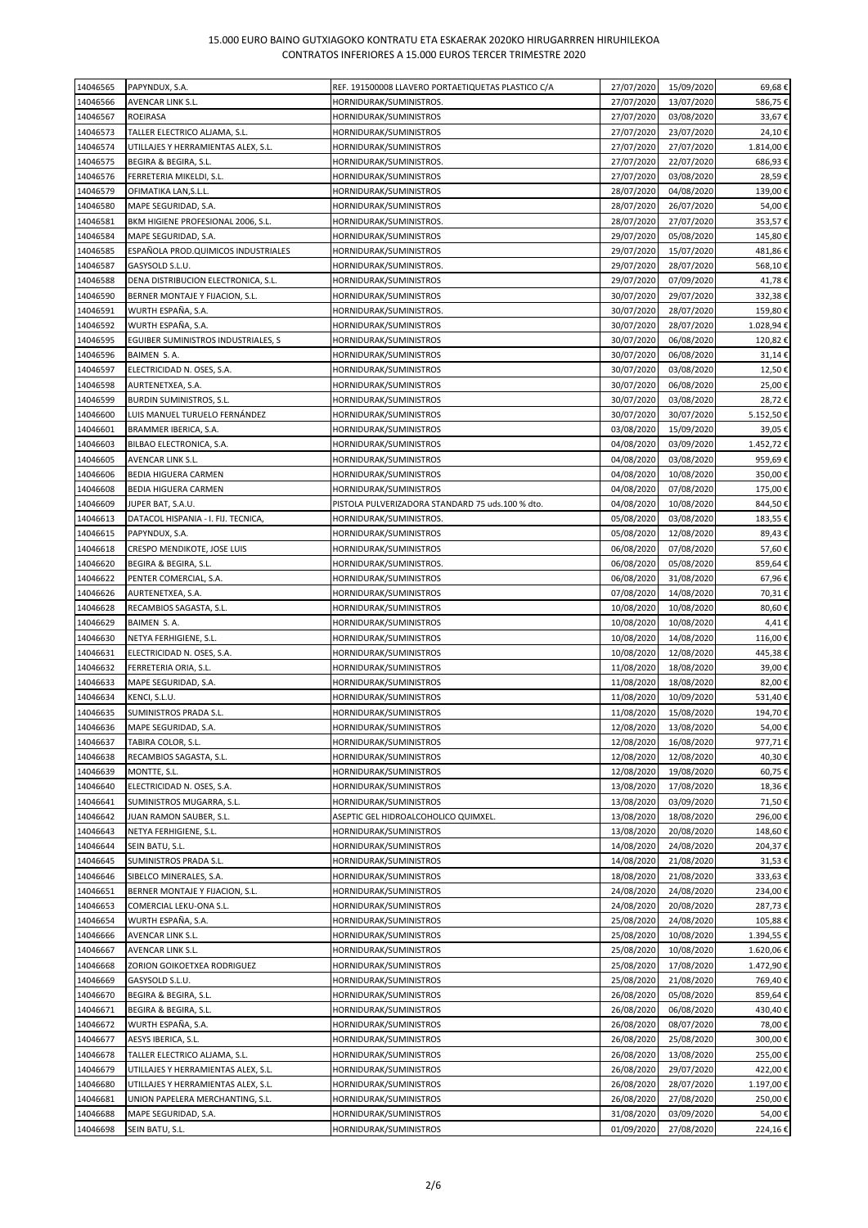| 14046565 | PAPYNDUX, S.A.                       | REF. 191500008 LLAVERO PORTAETIQUETAS PLASTICO C/A | 27/07/2020 | 15/09/2020 | 69,68€    |
|----------|--------------------------------------|----------------------------------------------------|------------|------------|-----------|
|          |                                      |                                                    |            |            |           |
| 14046566 | AVENCAR LINK S.L.                    | HORNIDURAK/SUMINISTROS.                            | 27/07/2020 | 13/07/2020 | 586,75€   |
| 14046567 | <b>ROEIRASA</b>                      | HORNIDURAK/SUMINISTROS                             | 27/07/2020 | 03/08/2020 | 33,67€    |
| 14046573 | TALLER ELECTRICO ALJAMA, S.L.        | HORNIDURAK/SUMINISTROS                             | 27/07/2020 | 23/07/2020 | 24,10€    |
| 14046574 | UTILLAJES Y HERRAMIENTAS ALEX, S.L.  | HORNIDURAK/SUMINISTROS                             | 27/07/2020 | 27/07/2020 | 1.814,00€ |
| 14046575 | BEGIRA & BEGIRA, S.L.                | HORNIDURAK/SUMINISTROS.                            | 27/07/2020 | 22/07/2020 | 686,93€   |
| 14046576 | FERRETERIA MIKELDI, S.L.             | HORNIDURAK/SUMINISTROS                             | 27/07/2020 | 03/08/2020 | 28,59€    |
| 14046579 | OFIMATIKA LAN, S.L.L.                | HORNIDURAK/SUMINISTROS                             | 28/07/2020 | 04/08/2020 | 139,00€   |
| 14046580 | MAPE SEGURIDAD, S.A.                 | HORNIDURAK/SUMINISTROS                             | 28/07/2020 | 26/07/2020 | 54,00€    |
|          |                                      |                                                    |            |            |           |
| 14046581 | BKM HIGIENE PROFESIONAL 2006, S.L.   | HORNIDURAK/SUMINISTROS.                            | 28/07/2020 | 27/07/2020 | 353,57€   |
| 14046584 | MAPE SEGURIDAD, S.A.                 | HORNIDURAK/SUMINISTROS                             | 29/07/2020 | 05/08/2020 | 145,80€   |
| 14046585 | ESPAÑOLA PROD. QUIMICOS INDUSTRIALES | HORNIDURAK/SUMINISTROS                             | 29/07/2020 | 15/07/2020 | 481,86€   |
| 14046587 | GASYSOLD S.L.U.                      | HORNIDURAK/SUMINISTROS.                            | 29/07/2020 | 28/07/2020 | 568,10€   |
| 14046588 | DENA DISTRIBUCION ELECTRONICA, S.L.  | HORNIDURAK/SUMINISTROS                             | 29/07/2020 | 07/09/2020 | 41,78€    |
| 14046590 | BERNER MONTAJE Y FIJACION, S.L.      | HORNIDURAK/SUMINISTROS                             | 30/07/2020 | 29/07/2020 | 332,38€   |
| 14046591 | WURTH ESPAÑA, S.A.                   | HORNIDURAK/SUMINISTROS.                            | 30/07/2020 | 28/07/2020 | 159,80€   |
| 14046592 | WURTH ESPAÑA, S.A.                   | HORNIDURAK/SUMINISTROS                             | 30/07/2020 | 28/07/2020 | 1.028,94€ |
| 14046595 | EGUIBER SUMINISTROS INDUSTRIALES, S  | HORNIDURAK/SUMINISTROS                             | 30/07/2020 | 06/08/2020 | 120,82€   |
|          |                                      |                                                    |            |            |           |
| 14046596 | BAIMEN S.A.                          | HORNIDURAK/SUMINISTROS                             | 30/07/2020 | 06/08/2020 | 31,14€    |
| 14046597 | ELECTRICIDAD N. OSES, S.A.           | HORNIDURAK/SUMINISTROS                             | 30/07/2020 | 03/08/2020 | 12,50€    |
| 14046598 | AURTENETXEA, S.A.                    | HORNIDURAK/SUMINISTROS                             | 30/07/2020 | 06/08/2020 | 25,00€    |
| 14046599 | <b>BURDIN SUMINISTROS, S.L.</b>      | HORNIDURAK/SUMINISTROS                             | 30/07/2020 | 03/08/2020 | 28,72€    |
| 14046600 | LUIS MANUEL TURUELO FERNÁNDEZ        | HORNIDURAK/SUMINISTROS                             | 30/07/2020 | 30/07/2020 | 5.152,50€ |
| 14046601 | BRAMMER IBERICA, S.A.                | HORNIDURAK/SUMINISTROS                             | 03/08/2020 | 15/09/2020 | 39,05€    |
| 14046603 | BILBAO ELECTRONICA, S.A.             | HORNIDURAK/SUMINISTROS                             | 04/08/2020 | 03/09/2020 | 1.452,72€ |
| 14046605 | AVENCAR LINK S.L.                    | HORNIDURAK/SUMINISTROS                             | 04/08/2020 | 03/08/2020 | 959,69€   |
| 14046606 | BEDIA HIGUERA CARMEN                 | HORNIDURAK/SUMINISTROS                             | 04/08/2020 | 10/08/2020 | 350,00€   |
|          |                                      |                                                    |            |            |           |
| 14046608 | <b>BEDIA HIGUERA CARMEN</b>          | HORNIDURAK/SUMINISTROS                             | 04/08/2020 | 07/08/2020 | 175,00€   |
| 14046609 | JUPER BAT, S.A.U.                    | PISTOLA PULVERIZADORA STANDARD 75 uds.100 % dto.   | 04/08/2020 | 10/08/2020 | 844,50€   |
| 14046613 | DATACOL HISPANIA - I. FIJ. TECNICA,  | HORNIDURAK/SUMINISTROS.                            | 05/08/2020 | 03/08/2020 | 183,55€   |
| 14046615 | PAPYNDUX, S.A.                       | HORNIDURAK/SUMINISTROS                             | 05/08/2020 | 12/08/2020 | 89,43€    |
| 14046618 | CRESPO MENDIKOTE, JOSE LUIS          | HORNIDURAK/SUMINISTROS                             | 06/08/2020 | 07/08/2020 | 57,60€    |
| 14046620 | BEGIRA & BEGIRA, S.L.                | HORNIDURAK/SUMINISTROS.                            | 06/08/2020 | 05/08/2020 | 859,64€   |
| 14046622 | PENTER COMERCIAL, S.A.               | HORNIDURAK/SUMINISTROS                             | 06/08/2020 | 31/08/2020 | 67,96€    |
| 14046626 | AURTENETXEA, S.A.                    | HORNIDURAK/SUMINISTROS                             | 07/08/2020 | 14/08/2020 | 70,31€    |
| 14046628 | RECAMBIOS SAGASTA, S.L.              | HORNIDURAK/SUMINISTROS                             | 10/08/2020 | 10/08/2020 | 80,60€    |
| 14046629 | BAIMEN S.A.                          | HORNIDURAK/SUMINISTROS                             | 10/08/2020 | 10/08/2020 | 4,41€     |
| 14046630 | NETYA FERHIGIENE, S.L.               | HORNIDURAK/SUMINISTROS                             | 10/08/2020 | 14/08/2020 | 116,00€   |
| 14046631 | ELECTRICIDAD N. OSES, S.A.           | HORNIDURAK/SUMINISTROS                             | 10/08/2020 | 12/08/2020 | 445,38€   |
| 14046632 | FERRETERIA ORIA, S.L.                | HORNIDURAK/SUMINISTROS                             | 11/08/2020 | 18/08/2020 | 39,00€    |
| 14046633 | MAPE SEGURIDAD, S.A.                 | HORNIDURAK/SUMINISTROS                             | 11/08/2020 | 18/08/2020 | 82,00€    |
| 14046634 | KENCI, S.L.U.                        | HORNIDURAK/SUMINISTROS                             | 11/08/2020 |            | 531,40€   |
|          |                                      |                                                    |            | 10/09/2020 |           |
| 14046635 | SUMINISTROS PRADA S.L.               | HORNIDURAK/SUMINISTROS                             | 11/08/2020 | 15/08/2020 | 194,70€   |
| 14046636 | MAPE SEGURIDAD, S.A.                 | HORNIDURAK/SUMINISTROS                             | 12/08/2020 | 13/08/2020 | 54,00€    |
| 14046637 | TABIRA COLOR, S.L.                   | HORNIDURAK/SUMINISTROS                             | 12/08/2020 | 16/08/2020 | 977,71€   |
| 14046638 | RECAMBIOS SAGASTA, S.L.              | HORNIDURAK/SUMINISTROS                             | 12/08/2020 | 12/08/2020 | 40,30€    |
| 14046639 | MONTTE, S.L.                         | HORNIDURAK/SUMINISTROS                             | 12/08/2020 | 19/08/2020 | 60,75€    |
| 14046640 | ELECTRICIDAD N. OSES, S.A.           | HORNIDURAK/SUMINISTROS                             | 13/08/2020 | 17/08/2020 | 18,36€    |
| 14046641 | SUMINISTROS MUGARRA, S.L.            | HORNIDURAK/SUMINISTROS                             | 13/08/2020 | 03/09/2020 | 71,50€    |
| 14046642 | JUAN RAMON SAUBER, S.L.              | ASEPTIC GEL HIDROALCOHOLICO QUIMXEL.               | 13/08/2020 | 18/08/2020 | 296,00€   |
| 14046643 | NETYA FERHIGIENE, S.L.               | HORNIDURAK/SUMINISTROS                             | 13/08/2020 | 20/08/2020 | 148,60€   |
| 14046644 |                                      | HORNIDURAK/SUMINISTROS                             |            |            |           |
|          | SEIN BATU, S.L.                      |                                                    | 14/08/2020 | 24/08/2020 | 204,37€   |
| 14046645 | SUMINISTROS PRADA S.L.               | HORNIDURAK/SUMINISTROS                             | 14/08/2020 | 21/08/2020 | 31,53€    |
| 14046646 | SIBELCO MINERALES, S.A.              | HORNIDURAK/SUMINISTROS                             | 18/08/2020 | 21/08/2020 | 333,63€   |
| 14046651 | BERNER MONTAJE Y FIJACION, S.L.      | HORNIDURAK/SUMINISTROS                             | 24/08/2020 | 24/08/2020 | 234,00€   |
| 14046653 | COMERCIAL LEKU-ONA S.L.              | HORNIDURAK/SUMINISTROS                             | 24/08/2020 | 20/08/2020 | 287,73€   |
| 14046654 | WURTH ESPAÑA, S.A.                   | HORNIDURAK/SUMINISTROS                             | 25/08/2020 | 24/08/2020 | 105,88€   |
| 14046666 | AVENCAR LINK S.L.                    | HORNIDURAK/SUMINISTROS                             | 25/08/2020 | 10/08/2020 | 1.394,55€ |
| 14046667 | AVENCAR LINK S.L.                    | HORNIDURAK/SUMINISTROS                             | 25/08/2020 | 10/08/2020 | 1.620,06€ |
| 14046668 | ZORION GOIKOETXEA RODRIGUEZ          | HORNIDURAK/SUMINISTROS                             | 25/08/2020 | 17/08/2020 | 1.472,90€ |
| 14046669 | GASYSOLD S.L.U.                      | HORNIDURAK/SUMINISTROS                             | 25/08/2020 | 21/08/2020 | 769,40€   |
| 14046670 | BEGIRA & BEGIRA, S.L.                | HORNIDURAK/SUMINISTROS                             | 26/08/2020 | 05/08/2020 | 859,64€   |
| 14046671 | BEGIRA & BEGIRA, S.L.                | HORNIDURAK/SUMINISTROS                             | 26/08/2020 | 06/08/2020 | 430,40€   |
| 14046672 | WURTH ESPAÑA, S.A.                   | HORNIDURAK/SUMINISTROS                             | 26/08/2020 | 08/07/2020 | 78,00€    |
| 14046677 | AESYS IBERICA, S.L.                  | HORNIDURAK/SUMINISTROS                             | 26/08/2020 | 25/08/2020 | 300,00€   |
|          |                                      |                                                    |            |            |           |
| 14046678 | TALLER ELECTRICO ALJAMA, S.L.        | HORNIDURAK/SUMINISTROS                             | 26/08/2020 | 13/08/2020 | 255,00€   |
| 14046679 | UTILLAJES Y HERRAMIENTAS ALEX, S.L.  | HORNIDURAK/SUMINISTROS                             | 26/08/2020 | 29/07/2020 | 422,00€   |
| 14046680 | UTILLAJES Y HERRAMIENTAS ALEX, S.L.  | HORNIDURAK/SUMINISTROS                             | 26/08/2020 | 28/07/2020 | 1.197,00€ |
| 14046681 | UNION PAPELERA MERCHANTING, S.L.     | HORNIDURAK/SUMINISTROS                             | 26/08/2020 | 27/08/2020 | 250,00€   |
| 14046688 | MAPE SEGURIDAD, S.A.                 | HORNIDURAK/SUMINISTROS                             | 31/08/2020 | 03/09/2020 | 54,00€    |
| 14046698 | SEIN BATU, S.L.                      | HORNIDURAK/SUMINISTROS                             | 01/09/2020 | 27/08/2020 | 224,16€   |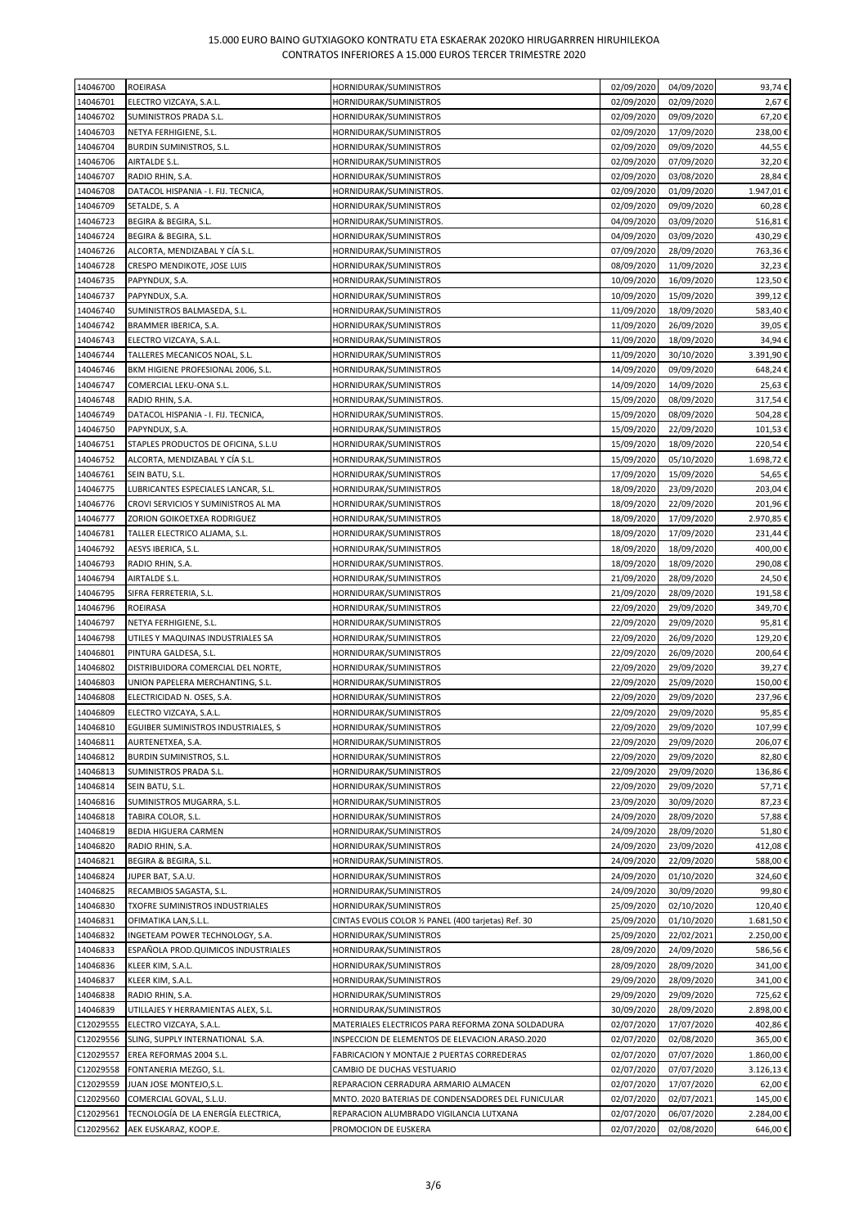| 14046700  | ROEIRASA                            | HORNIDURAK/SUMINISTROS                               | 02/09/2020               | 04/09/2020 | 93,74€    |
|-----------|-------------------------------------|------------------------------------------------------|--------------------------|------------|-----------|
| 14046701  | ELECTRO VIZCAYA, S.A.L.             | HORNIDURAK/SUMINISTROS                               | 02/09/2020               | 02/09/2020 | 2,67€     |
| 14046702  | SUMINISTROS PRADA S.L.              | HORNIDURAK/SUMINISTROS                               | 02/09/2020               | 09/09/2020 | 67,20€    |
| 14046703  | NETYA FERHIGIENE, S.L.              | HORNIDURAK/SUMINISTROS                               | 02/09/2020               | 17/09/2020 | 238,00€   |
| 14046704  | BURDIN SUMINISTROS, S.L.            | HORNIDURAK/SUMINISTROS                               | 02/09/2020               | 09/09/2020 | 44,55€    |
| 14046706  | AIRTALDE S.L.                       | HORNIDURAK/SUMINISTROS                               | 02/09/2020               | 07/09/2020 | 32,20€    |
|           |                                     |                                                      | 02/09/2020               |            |           |
| 14046707  | RADIO RHIN, S.A.                    | HORNIDURAK/SUMINISTROS                               |                          | 03/08/2020 | 28,84€    |
| 14046708  | DATACOL HISPANIA - I. FIJ. TECNICA, | HORNIDURAK/SUMINISTROS.                              | 02/09/2020               | 01/09/2020 | 1.947,01€ |
| 14046709  | SETALDE, S. A                       | HORNIDURAK/SUMINISTROS                               | 02/09/2020               | 09/09/2020 | 60,28€    |
| 14046723  | BEGIRA & BEGIRA, S.L.               | HORNIDURAK/SUMINISTROS.                              | 04/09/2020               | 03/09/2020 | 516,81€   |
| 14046724  | BEGIRA & BEGIRA, S.L.               | HORNIDURAK/SUMINISTROS                               | 04/09/2020               | 03/09/2020 | 430,29€   |
| 14046726  | ALCORTA, MENDIZABAL Y CIA S.L.      | HORNIDURAK/SUMINISTROS                               | 07/09/2020               | 28/09/2020 | 763,36€   |
| 14046728  | CRESPO MENDIKOTE, JOSE LUIS         | HORNIDURAK/SUMINISTROS                               | 08/09/2020               | 11/09/2020 | 32,23€    |
| 14046735  | PAPYNDUX, S.A.                      | HORNIDURAK/SUMINISTROS                               | 10/09/2020               | 16/09/2020 | 123,50€   |
| 14046737  | PAPYNDUX, S.A.                      | HORNIDURAK/SUMINISTROS                               | 10/09/2020               | 15/09/2020 | 399,12€   |
| 14046740  | SUMINISTROS BALMASEDA, S.L.         | HORNIDURAK/SUMINISTROS                               | 11/09/2020               | 18/09/2020 | 583,40€   |
| 14046742  | BRAMMER IBERICA, S.A.               | HORNIDURAK/SUMINISTROS                               | 11/09/2020               | 26/09/2020 | 39,05€    |
| 14046743  | ELECTRO VIZCAYA, S.A.L.             | HORNIDURAK/SUMINISTROS                               | 11/09/2020               | 18/09/2020 | 34,94€    |
| 14046744  | TALLERES MECANICOS NOAL, S.L.       | HORNIDURAK/SUMINISTROS                               | 11/09/2020               | 30/10/2020 | 3.391,90€ |
| 14046746  | BKM HIGIENE PROFESIONAL 2006, S.L.  | HORNIDURAK/SUMINISTROS                               | 14/09/2020               | 09/09/2020 | 648,24€   |
| 14046747  | COMERCIAL LEKU-ONA S.L.             | HORNIDURAK/SUMINISTROS                               | 14/09/2020               | 14/09/2020 | 25,63€    |
| 14046748  |                                     |                                                      |                          |            |           |
|           | RADIO RHIN, S.A.                    | HORNIDURAK/SUMINISTROS.                              | 15/09/2020<br>15/09/2020 | 08/09/2020 | 317,54€   |
| 14046749  | DATACOL HISPANIA - I. FIJ. TECNICA, | HORNIDURAK/SUMINISTROS.                              |                          | 08/09/2020 | 504,28€   |
| 14046750  | PAPYNDUX, S.A.                      | HORNIDURAK/SUMINISTROS                               | 15/09/2020               | 22/09/2020 | 101,53€   |
| 14046751  | STAPLES PRODUCTOS DE OFICINA, S.L.U | HORNIDURAK/SUMINISTROS                               | 15/09/2020               | 18/09/2020 | 220,54€   |
| 14046752  | ALCORTA, MENDIZABAL Y CÍA S.L.      | HORNIDURAK/SUMINISTROS                               | 15/09/2020               | 05/10/2020 | 1.698,72€ |
| 14046761  | SEIN BATU, S.L.                     | HORNIDURAK/SUMINISTROS                               | 17/09/2020               | 15/09/2020 | 54,65€    |
| 14046775  | LUBRICANTES ESPECIALES LANCAR, S.L. | HORNIDURAK/SUMINISTROS                               | 18/09/2020               | 23/09/2020 | 203,04€   |
| 14046776  | CROVI SERVICIOS Y SUMINISTROS AL MA | HORNIDURAK/SUMINISTROS                               | 18/09/2020               | 22/09/2020 | 201,96€   |
| 14046777  | ZORION GOIKOETXEA RODRIGUEZ         | HORNIDURAK/SUMINISTROS                               | 18/09/2020               | 17/09/2020 | 2.970,85€ |
| 14046781  | TALLER ELECTRICO ALJAMA, S.L.       | HORNIDURAK/SUMINISTROS                               | 18/09/2020               | 17/09/2020 | 231,44€   |
| 14046792  | AESYS IBERICA, S.L.                 | HORNIDURAK/SUMINISTROS                               | 18/09/2020               | 18/09/2020 | 400,00€   |
| 14046793  | RADIO RHIN, S.A.                    | HORNIDURAK/SUMINISTROS.                              | 18/09/2020               | 18/09/2020 | 290,08€   |
| 14046794  | AIRTALDE S.L.                       | HORNIDURAK/SUMINISTROS                               | 21/09/2020               | 28/09/2020 | 24,50€    |
| 14046795  | SIFRA FERRETERIA, S.L.              | HORNIDURAK/SUMINISTROS                               | 21/09/2020               | 28/09/2020 | 191,58€   |
| 14046796  | ROEIRASA                            | HORNIDURAK/SUMINISTROS                               | 22/09/2020               | 29/09/2020 | 349,70€   |
| 14046797  | NETYA FERHIGIENE, S.L.              | HORNIDURAK/SUMINISTROS                               | 22/09/2020               | 29/09/2020 | 95,81€    |
|           |                                     |                                                      |                          |            |           |
| 14046798  | UTILES Y MAQUINAS INDUSTRIALES SA   | HORNIDURAK/SUMINISTROS                               | 22/09/2020               | 26/09/2020 | 129,20€   |
| 14046801  | PINTURA GALDESA, S.L.               | HORNIDURAK/SUMINISTROS                               | 22/09/2020               | 26/09/2020 | 200,64€   |
| 14046802  | DISTRIBUIDORA COMERCIAL DEL NORTE,  | HORNIDURAK/SUMINISTROS                               | 22/09/2020               | 29/09/2020 | 39,27€    |
| 14046803  | UNION PAPELERA MERCHANTING, S.L.    | HORNIDURAK/SUMINISTROS                               | 22/09/2020               | 25/09/2020 | 150,00€   |
| 14046808  | ELECTRICIDAD N. OSES, S.A.          | HORNIDURAK/SUMINISTROS                               | 22/09/2020               | 29/09/2020 | 237,96€   |
| 14046809  | ELECTRO VIZCAYA, S.A.L.             | HORNIDURAK/SUMINISTROS                               | 22/09/2020               | 29/09/2020 | 95,85€    |
| 14046810  | EGUIBER SUMINISTROS INDUSTRIALES, S | HORNIDURAK/SUMINISTROS                               | 22/09/2020               | 29/09/2020 | 107,99€   |
| 14046811  | AURTENETXEA, S.A.                   | HORNIDURAK/SUMINISTROS                               | 22/09/2020               | 29/09/2020 | 206,07€   |
| 14046812  | <b>BURDIN SUMINISTROS, S.L.</b>     | HORNIDURAK/SUMINISTROS                               | 22/09/2020               | 29/09/2020 | 82,80€    |
| 14046813  | SUMINISTROS PRADA S.L.              | HORNIDURAK/SUMINISTROS                               | 22/09/2020               | 29/09/2020 | 136,86€   |
| 14046814  | SEIN BATU, S.L.                     | HORNIDURAK/SUMINISTROS                               | 22/09/2020               | 29/09/2020 | 57,71€    |
| 14046816  | SUMINISTROS MUGARRA, S.L.           | HORNIDURAK/SUMINISTROS                               | 23/09/2020               | 30/09/2020 | 87,23€    |
| 14046818  | TABIRA COLOR, S.L.                  | HORNIDURAK/SUMINISTROS                               | 24/09/2020               | 28/09/2020 | 57,88€    |
| 14046819  | BEDIA HIGUERA CARMEN                | HORNIDURAK/SUMINISTROS                               | 24/09/2020               | 28/09/2020 | 51,80€    |
| 14046820  | RADIO RHIN, S.A.                    | HORNIDURAK/SUMINISTROS                               | 24/09/2020               | 23/09/2020 | 412,08€   |
| 14046821  | BEGIRA & BEGIRA, S.L.               | HORNIDURAK/SUMINISTROS.                              | 24/09/2020               | 22/09/2020 | 588,00€   |
| 14046824  | JUPER BAT, S.A.U.                   | HORNIDURAK/SUMINISTROS                               | 24/09/2020               | 01/10/2020 | 324,60€   |
| 14046825  |                                     |                                                      |                          |            |           |
|           | RECAMBIOS SAGASTA, S.L.             | HORNIDURAK/SUMINISTROS                               | 24/09/2020               | 30/09/2020 | 99,80€    |
| 14046830  | TXOFRE SUMINISTROS INDUSTRIALES     | HORNIDURAK/SUMINISTROS                               | 25/09/2020               | 02/10/2020 | 120,40€   |
| 14046831  | OFIMATIKA LAN, S.L.L.               | CINTAS EVOLIS COLOR 1/2 PANEL (400 tarjetas) Ref. 30 | 25/09/2020               | 01/10/2020 | 1.681,50€ |
| 14046832  | INGETEAM POWER TECHNOLOGY, S.A.     | HORNIDURAK/SUMINISTROS                               | 25/09/2020               | 22/02/2021 | 2.250,00€ |
| 14046833  | ESPAÑOLA PROD.QUIMICOS INDUSTRIALES | HORNIDURAK/SUMINISTROS                               | 28/09/2020               | 24/09/2020 | 586,56€   |
| 14046836  | KLEER KIM, S.A.L.                   | HORNIDURAK/SUMINISTROS                               | 28/09/2020               | 28/09/2020 | 341,00€   |
| 14046837  | KLEER KIM, S.A.L.                   | HORNIDURAK/SUMINISTROS                               | 29/09/2020               | 28/09/2020 | 341,00€   |
| 14046838  | RADIO RHIN, S.A.                    | HORNIDURAK/SUMINISTROS                               | 29/09/2020               | 29/09/2020 | 725,62€   |
| 14046839  | UTILLAJES Y HERRAMIENTAS ALEX, S.L. | HORNIDURAK/SUMINISTROS                               | 30/09/2020               | 28/09/2020 | 2.898,00€ |
| C12029555 | ELECTRO VIZCAYA, S.A.L.             | MATERIALES ELECTRICOS PARA REFORMA ZONA SOLDADURA    | 02/07/2020               | 17/07/2020 | 402,86€   |
| C12029556 | SLING, SUPPLY INTERNATIONAL S.A.    | INSPECCION DE ELEMENTOS DE ELEVACION.ARASO.2020      | 02/07/2020               | 02/08/2020 | 365,00€   |
| C12029557 | EREA REFORMAS 2004 S.L.             | FABRICACION Y MONTAJE 2 PUERTAS CORREDERAS           | 02/07/2020               | 07/07/2020 | 1.860,00€ |
| C12029558 | FONTANERIA MEZGO, S.L.              | CAMBIO DE DUCHAS VESTUARIO                           | 02/07/2020               | 07/07/2020 | 3.126,13€ |
| C12029559 | JUAN JOSE MONTEJO, S.L.             | REPARACION CERRADURA ARMARIO ALMACEN                 | 02/07/2020               | 17/07/2020 | 62,00€    |
| C12029560 | COMERCIAL GOVAL, S.L.U.             | MNTO. 2020 BATERIAS DE CONDENSADORES DEL FUNICULAR   | 02/07/2020               | 02/07/2021 | 145,00€   |
| C12029561 | TECNOLOGÍA DE LA ENERGÍA ELECTRICA, | REPARACION ALUMBRADO VIGILANCIA LUTXANA              | 02/07/2020               | 06/07/2020 | 2.284,00€ |
| C12029562 | AEK EUSKARAZ, KOOP.E.               | PROMOCION DE EUSKERA                                 | 02/07/2020               | 02/08/2020 | 646,00€   |
|           |                                     |                                                      |                          |            |           |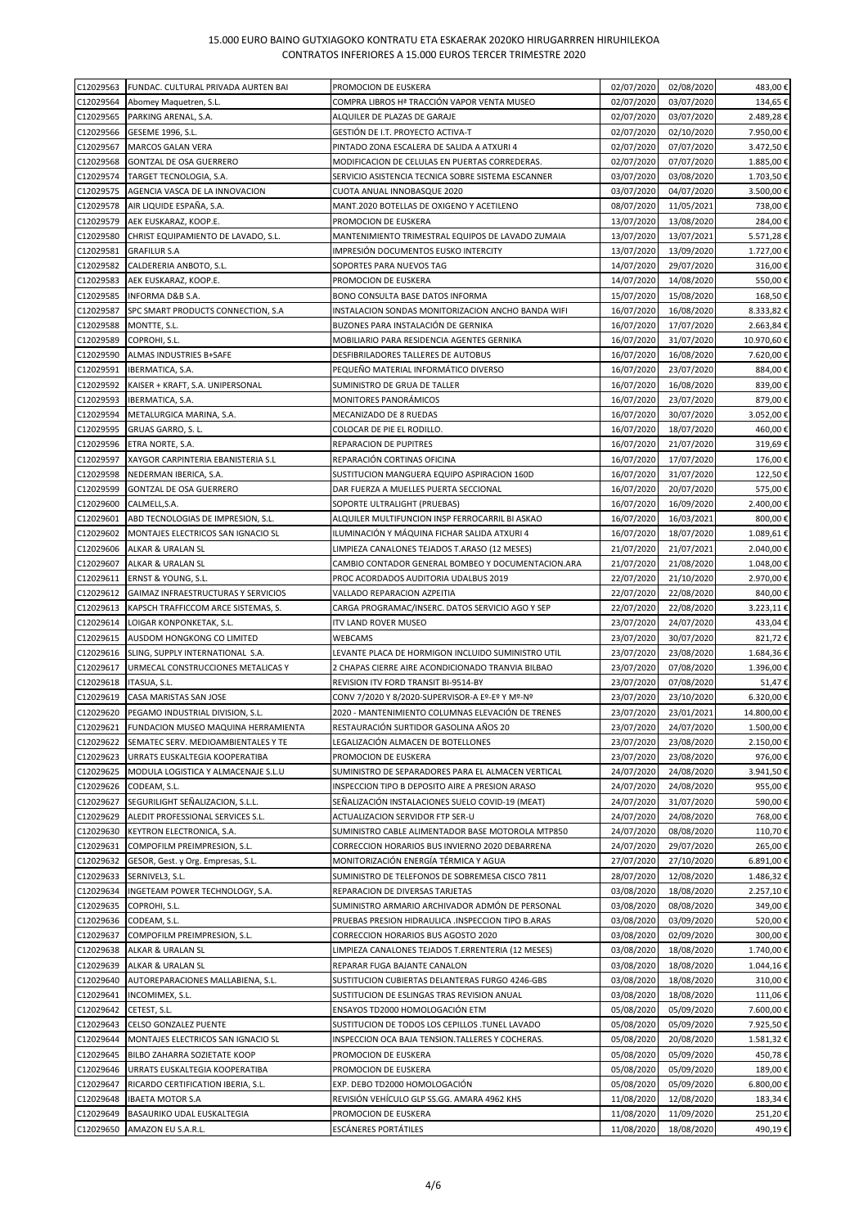| C12029563              | FUNDAC. CULTURAL PRIVADA AURTEN BAI                    | PROMOCION DE EUSKERA                                                            | 02/07/2020 | 02/08/2020 | 483,00€              |
|------------------------|--------------------------------------------------------|---------------------------------------------------------------------------------|------------|------------|----------------------|
| C12029564              | Abomey Maquetren, S.L.                                 | COMPRA LIBROS Hª TRACCIÓN VAPOR VENTA MUSEO                                     | 02/07/2020 | 03/07/2020 | 134,65€              |
| C12029565              | PARKING ARENAL, S.A.                                   | ALQUILER DE PLAZAS DE GARAJE                                                    | 02/07/2020 | 03/07/2020 | 2.489,28€            |
| C12029566              | GESEME 1996, S.L.                                      | GESTIÓN DE I.T. PROYECTO ACTIVA-T                                               | 02/07/2020 | 02/10/2020 | 7.950,00€            |
| C12029567              | <b>MARCOS GALAN VERA</b>                               | PINTADO ZONA ESCALERA DE SALIDA A ATXURI 4                                      | 02/07/2020 | 07/07/2020 | 3.472,50€            |
| C12029568              | <b>GONTZAL DE OSA GUERRERO</b>                         | MODIFICACION DE CELULAS EN PUERTAS CORREDERAS.                                  | 02/07/2020 | 07/07/2020 | 1.885,00€            |
| C12029574              | TARGET TECNOLOGIA, S.A.                                | SERVICIO ASISTENCIA TECNICA SOBRE SISTEMA ESCANNER                              | 03/07/2020 | 03/08/2020 | 1.703,50€            |
| C12029575              | AGENCIA VASCA DE LA INNOVACION                         | CUOTA ANUAL INNOBASQUE 2020                                                     | 03/07/2020 | 04/07/2020 | 3.500,00€            |
| C12029578              | AIR LIQUIDE ESPAÑA, S.A.                               | MANT.2020 BOTELLAS DE OXIGENO Y ACETILENO                                       | 08/07/2020 | 11/05/2021 | 738,00€              |
| C12029579              | AEK EUSKARAZ, KOOP.E.                                  | PROMOCION DE EUSKERA                                                            | 13/07/2020 | 13/08/2020 | 284,00€              |
| C12029580              | CHRIST EQUIPAMIENTO DE LAVADO, S.L.                    | MANTENIMIENTO TRIMESTRAL EQUIPOS DE LAVADO ZUMAIA                               | 13/07/2020 | 13/07/2021 | 5.571,28€            |
| C12029581              | <b>GRAFILUR S.A</b>                                    | IMPRESIÓN DOCUMENTOS EUSKO INTERCITY                                            | 13/07/2020 | 13/09/2020 | 1.727,00€            |
| C12029582              | CALDERERIA ANBOTO, S.L.                                | SOPORTES PARA NUEVOS TAG                                                        | 14/07/2020 | 29/07/2020 | 316,00€              |
| C12029583              | AEK EUSKARAZ, KOOP.E.                                  | PROMOCION DE EUSKERA                                                            | 14/07/2020 | 14/08/2020 | 550,00€              |
| C12029585              | <b>INFORMA D&amp;B S.A.</b>                            | BONO CONSULTA BASE DATOS INFORMA                                                | 15/07/2020 | 15/08/2020 | 168,50€              |
| C12029587              | SPC SMART PRODUCTS CONNECTION, S.A                     | INSTALACION SONDAS MONITORIZACION ANCHO BANDA WIFI                              | 16/07/2020 | 16/08/2020 | 8.333,82€            |
| C12029588              | MONTTE, S.L.                                           | BUZONES PARA INSTALACIÓN DE GERNIKA                                             | 16/07/2020 | 17/07/2020 | 2.663,84€            |
| C12029589              | COPROHI, S.L.                                          | MOBILIARIO PARA RESIDENCIA AGENTES GERNIKA                                      | 16/07/2020 | 31/07/2020 | 10.970,60€           |
|                        |                                                        |                                                                                 |            |            |                      |
| C12029590              | ALMAS INDUSTRIES B+SAFE                                | DESFIBRILADORES TALLERES DE AUTOBUS                                             | 16/07/2020 | 16/08/2020 | 7.620,00€            |
| C12029591              | IBERMATICA, S.A.                                       | PEQUEÑO MATERIAL INFORMÁTICO DIVERSO                                            | 16/07/2020 | 23/07/2020 | 884,00€              |
| C12029592              | KAISER + KRAFT, S.A. UNIPERSONAL                       | SUMINISTRO DE GRUA DE TALLER                                                    | 16/07/2020 | 16/08/2020 | 839,00€              |
| C12029593              | IBERMATICA, S.A.                                       | MONITORES PANORAMICOS                                                           | 16/07/2020 | 23/07/2020 | 879,00€              |
| C12029594              | METALURGICA MARINA, S.A.                               | MECANIZADO DE 8 RUEDAS                                                          | 16/07/2020 | 30/07/2020 | 3.052,00€            |
| C12029595              | GRUAS GARRO, S. L.                                     | COLOCAR DE PIE EL RODILLO.                                                      | 16/07/2020 | 18/07/2020 | 460,00€              |
| C12029596              | ETRA NORTE, S.A.                                       | <b>REPARACION DE PUPITRES</b>                                                   | 16/07/2020 | 21/07/2020 | 319,69€              |
| C12029597              | XAYGOR CARPINTERIA EBANISTERIA S.L                     | REPARACIÓN CORTINAS OFICINA                                                     | 16/07/2020 | 17/07/2020 | 176.00€              |
| C12029598              | NEDERMAN IBERICA, S.A.                                 | SUSTITUCION MANGUERA EQUIPO ASPIRACION 160D                                     | 16/07/2020 | 31/07/2020 | 122,50€              |
| C12029599              | GONTZAL DE OSA GUERRERO                                | DAR FUERZA A MUELLES PUERTA SECCIONAL                                           | 16/07/2020 | 20/07/2020 | 575,00€              |
| C12029600              | CALMELL, S.A.                                          | SOPORTE ULTRALIGHT (PRUEBAS)                                                    | 16/07/2020 | 16/09/2020 | 2.400,00€            |
| C12029601              | ABD TECNOLOGIAS DE IMPRESION, S.L.                     | ALQUILER MULTIFUNCION INSP FERROCARRIL BI ASKAO                                 | 16/07/2020 | 16/03/2021 | 800,00€              |
| C12029602              | MONTAJES ELECTRICOS SAN IGNACIO SL                     | ILUMINACIÓN Y MÁQUINA FICHAR SALIDA ATXURI 4                                    | 16/07/2020 | 18/07/2020 | 1.089,61€            |
| C12029606              | ALKAR & URALAN SL                                      | LIMPIEZA CANALONES TEJADOS T.ARASO (12 MESES)                                   | 21/07/2020 | 21/07/2021 | 2.040,00€            |
| C12029607              | ALKAR & URALAN SL                                      | CAMBIO CONTADOR GENERAL BOMBEO Y DOCUMENTACION.ARA                              | 21/07/2020 | 21/08/2020 | 1.048,00€            |
| C12029611              | ERNST & YOUNG, S.L.                                    | PROC ACORDADOS AUDITORIA UDALBUS 2019                                           | 22/07/2020 | 21/10/2020 | 2.970,00€            |
| C12029612              | GAIMAZ INFRAESTRUCTURAS Y SERVICIOS                    | VALLADO REPARACION AZPEITIA                                                     | 22/07/2020 | 22/08/2020 | 840,00€              |
| C12029613              | KAPSCH TRAFFICCOM ARCE SISTEMAS, S.                    | CARGA PROGRAMAC/INSERC. DATOS SERVICIO AGO Y SEP                                | 22/07/2020 | 22/08/2020 | 3.223,11€            |
| C12029614              | LOIGAR KONPONKETAK, S.L.                               | ITV LAND ROVER MUSEO                                                            | 23/07/2020 | 24/07/2020 | 433,04€              |
| C12029615              | AUSDOM HONGKONG CO LIMITED                             | WEBCAMS                                                                         | 23/07/2020 | 30/07/2020 | 821,72€              |
| C12029616              | SLING, SUPPLY INTERNATIONAL S.A.                       | LEVANTE PLACA DE HORMIGON INCLUIDO SUMINISTRO UTIL                              | 23/07/2020 | 23/08/2020 | 1.684,36€            |
| C12029617              | URMECAL CONSTRUCCIONES METALICAS Y                     | 2 CHAPAS CIERRE AIRE ACONDICIONADO TRANVIA BILBAO                               | 23/07/2020 | 07/08/2020 | 1.396,00€            |
| C12029618              | ITASUA, S.L.                                           | REVISION ITV FORD TRANSIT BI-9514-BY                                            | 23/07/2020 | 07/08/2020 | 51,47€               |
| C12029619              | CASA MARISTAS SAN JOSE                                 | CONV 7/2020 Y 8/2020-SUPERVISOR-A Eº-Eº Y Mº-Nº                                 | 23/07/2020 | 23/10/2020 | 6.320,00€            |
| C12029620              | PEGAMO INDUSTRIAL DIVISION, S.L.                       | 2020 - MANTENIMIENTO COLUMNAS ELEVACIÓN DE TRENES                               | 23/07/2020 | 23/01/2021 | 14.800,00€           |
| C12029621              | FUNDACION MUSEO MAQUINA HERRAMIENTA                    | RESTAURACIÓN SURTIDOR GASOLINA AÑOS 20                                          | 23/07/2020 | 24/07/2020 | 1.500,00€            |
| C12029622              | SEMATEC SERV. MEDIOAMBIENTALES Y TE                    | LEGALIZACIÓN ALMACEN DE BOTELLONES                                              | 23/07/2020 | 23/08/2020 | 2.150,00€            |
| C12029623              | URRATS EUSKALTEGIA KOOPERATIBA                         | PROMOCION DE EUSKERA                                                            | 23/07/2020 | 23/08/2020 | 976,00€              |
| C12029625              | MODULA LOGISTICA Y ALMACENAJE S.L.U                    | SUMINISTRO DE SEPARADORES PARA EL ALMACEN VERTICAL                              | 24/07/2020 | 24/08/2020 | 3.941,50€            |
| C12029626              | CODEAM, S.L.                                           | INSPECCION TIPO B DEPOSITO AIRE A PRESION ARASO                                 | 24/07/2020 | 24/08/2020 | 955,00€              |
| C12029627              | SEGURILIGHT SEÑALIZACION, S.L.L.                       | SEÑALIZACIÓN INSTALACIONES SUELO COVID-19 (MEAT)                                | 24/07/2020 | 31/07/2020 | 590,00€              |
| C12029629              | ALEDIT PROFESSIONAL SERVICES S.L.                      | ACTUALIZACION SERVIDOR FTP SER-U                                                | 24/07/2020 | 24/08/2020 | 768,00€              |
| C12029630              | KEYTRON ELECTRONICA, S.A.                              | SUMINISTRO CABLE ALIMENTADOR BASE MOTOROLA MTP850                               | 24/07/2020 | 08/08/2020 | 110,70€              |
| C12029631              | COMPOFILM PREIMPRESION, S.L.                           | CORRECCION HORARIOS BUS INVIERNO 2020 DEBARRENA                                 | 24/07/2020 | 29/07/2020 | 265,00€              |
| C12029632              | GESOR, Gest. y Org. Empresas, S.L.                     | MONITORIZACIÓN ENERGÍA TÉRMICA Y AGUA                                           | 27/07/2020 | 27/10/2020 | 6.891,00€            |
| C12029633              | SERNIVEL3, S.L.                                        | SUMINISTRO DE TELEFONOS DE SOBREMESA CISCO 7811                                 | 28/07/2020 | 12/08/2020 | 1.486,32€            |
| C12029634              | INGETEAM POWER TECHNOLOGY, S.A.                        | REPARACION DE DIVERSAS TARJETAS                                                 | 03/08/2020 | 18/08/2020 | 2.257,10€            |
| C12029635              | COPROHI, S.L.                                          | SUMINISTRO ARMARIO ARCHIVADOR ADMÓN DE PERSONAL                                 | 03/08/2020 | 08/08/2020 | 349,00€              |
| C12029636              | CODEAM, S.L.                                           | PRUEBAS PRESION HIDRAULICA .INSPECCION TIPO B.ARAS                              | 03/08/2020 | 03/09/2020 | 520,00€              |
| C12029637              | COMPOFILM PREIMPRESION, S.L.                           | CORRECCION HORARIOS BUS AGOSTO 2020                                             | 03/08/2020 | 02/09/2020 | 300,00€              |
| C12029638              | ALKAR & URALAN SL                                      | LIMPIEZA CANALONES TEJADOS T.ERRENTERIA (12 MESES)                              | 03/08/2020 | 18/08/2020 | 1.740,00€            |
|                        |                                                        |                                                                                 | 03/08/2020 | 18/08/2020 |                      |
| C12029639<br>C12029640 | ALKAR & URALAN SL<br>AUTOREPARACIONES MALLABIENA, S.L. | REPARAR FUGA BAJANTE CANALON<br>SUSTITUCION CUBIERTAS DELANTERAS FURGO 4246-GBS | 03/08/2020 | 18/08/2020 | 1.044,16€<br>310,00€ |
|                        |                                                        |                                                                                 |            |            |                      |
| C12029641              | INCOMIMEX, S.L.                                        | SUSTITUCION DE ESLINGAS TRAS REVISION ANUAL                                     | 03/08/2020 | 18/08/2020 | 111,06€              |
| C12029642              | CETEST, S.L.                                           | ENSAYOS TD2000 HOMOLOGACIÓN ETM                                                 | 05/08/2020 | 05/09/2020 | 7.600,00€            |
| C12029643              | CELSO GONZALEZ PUENTE                                  | SUSTITUCION DE TODOS LOS CEPILLOS .TUNEL LAVADO                                 | 05/08/2020 | 05/09/2020 | 7.925,50€            |
| C12029644              | MONTAJES ELECTRICOS SAN IGNACIO SL                     | INSPECCION OCA BAJA TENSION.TALLERES Y COCHERAS.                                | 05/08/2020 | 20/08/2020 | 1.581,32€            |
| C12029645              | BILBO ZAHARRA SOZIETATE KOOP                           | PROMOCION DE EUSKERA                                                            | 05/08/2020 | 05/09/2020 | 450,78€              |
| C12029646              | URRATS EUSKALTEGIA KOOPERATIBA                         | PROMOCION DE EUSKERA                                                            | 05/08/2020 | 05/09/2020 | 189,00€              |
| C12029647              | RICARDO CERTIFICATION IBERIA, S.L.                     | EXP. DEBO TD2000 HOMOLOGACIÓN                                                   | 05/08/2020 | 05/09/2020 | 6.800,00€            |
| C12029648              | <b>IBAETA MOTOR S.A</b>                                | REVISIÓN VEHÍCULO GLP SS.GG. AMARA 4962 KHS                                     | 11/08/2020 | 12/08/2020 | 183,34€              |
| C12029649              | BASAURIKO UDAL EUSKALTEGIA                             | PROMOCION DE EUSKERA                                                            | 11/08/2020 | 11/09/2020 | 251,20€              |
| C12029650              | AMAZON EU S.A.R.L.                                     | ESCÁNERES PORTÁTILES                                                            | 11/08/2020 | 18/08/2020 | 490,19€              |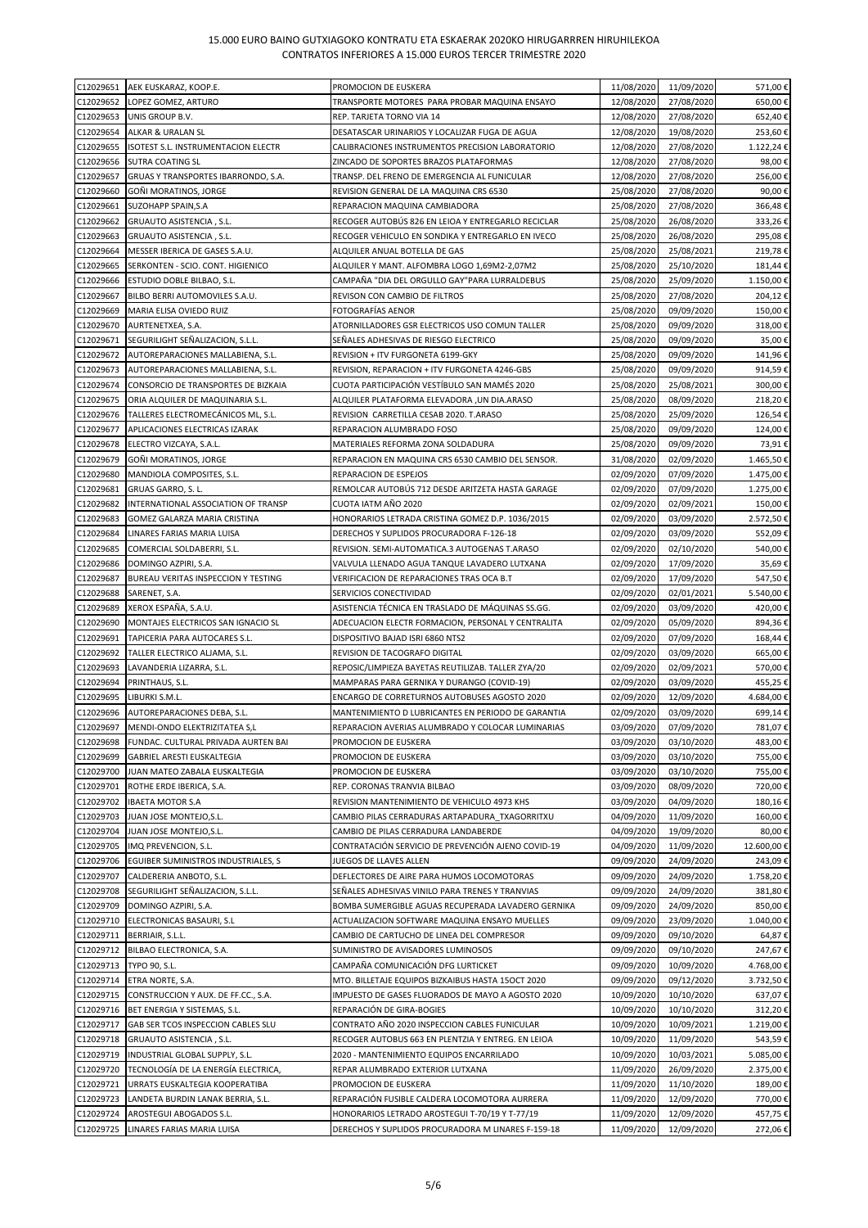| C12029651              |                                                       |                                                                                                      | 11/08/2020               | 11/09/2020               | 571,00€            |
|------------------------|-------------------------------------------------------|------------------------------------------------------------------------------------------------------|--------------------------|--------------------------|--------------------|
|                        | AEK EUSKARAZ, KOOP.E.                                 | PROMOCION DE EUSKERA                                                                                 |                          |                          |                    |
| C12029652              | LOPEZ GOMEZ, ARTURO                                   | TRANSPORTE MOTORES PARA PROBAR MAQUINA ENSAYO                                                        | 12/08/2020               | 27/08/2020               | 650,00€            |
| C12029653              | UNIS GROUP B.V.                                       | REP. TARJETA TORNO VIA 14                                                                            | 12/08/2020               | 27/08/2020               | 652,40€            |
| C12029654              | ALKAR & URALAN SL                                     | DESATASCAR URINARIOS Y LOCALIZAR FUGA DE AGUA                                                        | 12/08/2020               | 19/08/2020               | 253,60€            |
| C12029655              | ISOTEST S.L. INSTRUMENTACION ELECTR                   | CALIBRACIONES INSTRUMENTOS PRECISION LABORATORIO                                                     | 12/08/2020               | 27/08/2020               | 1.122,24€          |
| C12029656              | SUTRA COATING SL                                      | ZINCADO DE SOPORTES BRAZOS PLATAFORMAS                                                               | 12/08/2020               | 27/08/2020               | 98,00€             |
| C12029657              | GRUAS Y TRANSPORTES IBARRONDO, S.A.                   | TRANSP. DEL FRENO DE EMERGENCIA AL FUNICULAR                                                         | 12/08/2020               | 27/08/2020               | 256,00€            |
| C12029660              | GOÑI MORATINOS, JORGE                                 | REVISION GENERAL DE LA MAQUINA CRS 6530                                                              | 25/08/2020               | 27/08/2020               | 90,00€             |
| C12029661              | SUZOHAPP SPAIN, S.A                                   | REPARACION MAQUINA CAMBIADORA                                                                        | 25/08/2020               | 27/08/2020               | 366,48€            |
| C12029662              | GRUAUTO ASISTENCIA, S.L.                              | RECOGER AUTOBÚS 826 EN LEIOA Y ENTREGARLO RECICLAR                                                   | 25/08/2020               | 26/08/2020               | 333,26€            |
|                        |                                                       |                                                                                                      |                          |                          |                    |
| C12029663              | GRUAUTO ASISTENCIA, S.L.                              | RECOGER VEHICULO EN SONDIKA Y ENTREGARLO EN IVECO                                                    | 25/08/2020               | 26/08/2020               | 295,08€            |
| C12029664              | MESSER IBERICA DE GASES S.A.U.                        | ALQUILER ANUAL BOTELLA DE GAS                                                                        | 25/08/2020               | 25/08/2021               | 219,78€            |
| C12029665              | SERKONTEN - SCIO. CONT. HIGIENICO                     | ALQUILER Y MANT. ALFOMBRA LOGO 1,69M2-2,07M2                                                         | 25/08/2020               | 25/10/2020               | 181,44€            |
| C12029666              | ESTUDIO DOBLE BILBAO, S.L.                            | CAMPAÑA "DIA DEL ORGULLO GAY"PARA LURRALDEBUS                                                        | 25/08/2020               | 25/09/2020               | 1.150,00€          |
| C12029667              | BILBO BERRI AUTOMOVILES S.A.U.                        | REVISON CON CAMBIO DE FILTROS                                                                        | 25/08/2020               | 27/08/2020               | 204,12€            |
| C12029669              | MARIA ELISA OVIEDO RUIZ                               | FOTOGRAFÍAS AENOR                                                                                    | 25/08/2020               | 09/09/2020               | 150,00€            |
| C12029670              | AURTENETXEA, S.A.                                     | ATORNILLADORES GSR ELECTRICOS USO COMUN TALLER                                                       | 25/08/2020               | 09/09/2020               | 318,00€            |
|                        |                                                       |                                                                                                      |                          |                          |                    |
| C12029671              | SEGURILIGHT SEÑALIZACION, S.L.L.                      | SEÑALES ADHESIVAS DE RIESGO ELECTRICO                                                                | 25/08/2020               | 09/09/2020               | 35,00€             |
| C12029672              | AUTOREPARACIONES MALLABIENA, S.L.                     | REVISION + ITV FURGONETA 6199-GKY                                                                    | 25/08/2020               | 09/09/2020               | 141,96€            |
| C12029673              | AUTOREPARACIONES MALLABIENA, S.L.                     | REVISION, REPARACION + ITV FURGONETA 4246-GBS                                                        | 25/08/2020               | 09/09/2020               | 914,59€            |
| C12029674              | CONSORCIO DE TRANSPORTES DE BIZKAIA                   | CUOTA PARTICIPACIÓN VESTÍBULO SAN MAMÉS 2020                                                         | 25/08/2020               | 25/08/2021               | 300,00€            |
| C12029675              | ORIA ALQUILER DE MAQUINARIA S.L.                      | ALQUILER PLATAFORMA ELEVADORA ,UN DIA.ARASO                                                          | 25/08/2020               | 08/09/2020               | 218,20€            |
| C12029676              | TALLERES ELECTROMECÁNICOS ML, S.L.                    | REVISION CARRETILLA CESAB 2020. T.ARASO                                                              | 25/08/2020               | 25/09/2020               | 126,54€            |
| C12029677              | APLICACIONES ELECTRICAS IZARAK                        | REPARACION ALUMBRADO FOSO                                                                            | 25/08/2020               | 09/09/2020               | 124,00€            |
|                        |                                                       |                                                                                                      |                          |                          |                    |
| C12029678              | ELECTRO VIZCAYA, S.A.L.                               | MATERIALES REFORMA ZONA SOLDADURA                                                                    | 25/08/2020               | 09/09/2020               | 73,91€             |
| C12029679              | GOÑI MORATINOS, JORGE                                 | REPARACION EN MAQUINA CRS 6530 CAMBIO DEL SENSOR.                                                    | 31/08/2020               | 02/09/2020               | 1.465,50€          |
| C12029680              | MANDIOLA COMPOSITES, S.L.                             | REPARACION DE ESPEJOS                                                                                | 02/09/2020               | 07/09/2020               | 1.475,00€          |
| C12029681              | GRUAS GARRO, S. L.                                    | REMOLCAR AUTOBÚS 712 DESDE ARITZETA HASTA GARAGE                                                     | 02/09/2020               | 07/09/2020               | 1.275,00€          |
| C12029682              | INTERNATIONAL ASSOCIATION OF TRANSP                   | CUOTA IATM AÑO 2020                                                                                  | 02/09/2020               | 02/09/2021               | 150,00€            |
| C12029683              | GOMEZ GALARZA MARIA CRISTINA                          | HONORARIOS LETRADA CRISTINA GOMEZ D.P. 1036/2015                                                     | 02/09/2020               | 03/09/2020               | 2.572,50€          |
| C12029684              |                                                       |                                                                                                      |                          | 03/09/2020               | 552,09€            |
|                        | LINARES FARIAS MARIA LUISA                            | DERECHOS Y SUPLIDOS PROCURADORA F-126-18                                                             | 02/09/2020               |                          |                    |
| C12029685              | COMERCIAL SOLDABERRI, S.L.                            | REVISION. SEMI-AUTOMATICA.3 AUTOGENAS T.ARASO                                                        | 02/09/2020               | 02/10/2020               | 540,00€            |
| C12029686              | DOMINGO AZPIRI, S.A.                                  | VALVULA LLENADO AGUA TANQUE LAVADERO LUTXANA                                                         | 02/09/2020               | 17/09/2020               | 35,69€             |
| C12029687              | BUREAU VERITAS INSPECCION Y TESTING                   | VERIFICACION DE REPARACIONES TRAS OCA B.T                                                            | 02/09/2020               | 17/09/2020               | 547,50€            |
| C12029688              | SARENET, S.A.                                         | SERVICIOS CONECTIVIDAD                                                                               | 02/09/2020               | 02/01/2021               | 5.540,00€          |
| C12029689              | XEROX ESPAÑA, S.A.U.                                  | ASISTENCIA TÉCNICA EN TRASLADO DE MÁQUINAS SS.GG.                                                    | 02/09/2020               | 03/09/2020               | 420,00€            |
| C12029690              | MONTAJES ELECTRICOS SAN IGNACIO SL                    | ADECUACION ELECTR FORMACION, PERSONAL Y CENTRALITA                                                   | 02/09/2020               | 05/09/2020               | 894,36€            |
| C12029691              | TAPICERIA PARA AUTOCARES S.L.                         | DISPOSITIVO BAJAD ISRI 6860 NTS2                                                                     | 02/09/2020               | 07/09/2020               |                    |
|                        |                                                       |                                                                                                      |                          |                          | 168,44€            |
| C12029692              | TALLER ELECTRICO ALJAMA, S.L.                         | REVISION DE TACOGRAFO DIGITAL                                                                        | 02/09/2020               | 03/09/2020               | 665,00€            |
| C12029693              | LAVANDERIA LIZARRA, S.L.                              | REPOSIC/LIMPIEZA BAYETAS REUTILIZAB. TALLER ZYA/20                                                   | 02/09/2020               | 02/09/2021               | 570,00€            |
| C12029694              | PRINTHAUS, S.L.                                       | MAMPARAS PARA GERNIKA Y DURANGO (COVID-19)                                                           | 02/09/2020               | 03/09/2020               | 455,25€            |
| C12029695              | LIBURKI S.M.L.                                        | ENCARGO DE CORRETURNOS AUTOBUSES AGOSTO 2020                                                         | 02/09/2020               | 12/09/2020               | 4.684,00€          |
| C12029696              | AUTOREPARACIONES DEBA, S.L.                           | MANTENIMIENTO D LUBRICANTES EN PERIODO DE GARANTIA                                                   | 02/09/2020               | 03/09/2020               | 699,14€            |
| C12029697              | MENDI-ONDO ELEKTRIZITATEA S.L                         | REPARACION AVERIAS ALUMBRADO Y COLOCAR LUMINARIAS                                                    | 03/09/2020               | 07/09/2020               | 781,07€            |
| C12029698              |                                                       | PROMOCION DE EUSKERA                                                                                 | 03/09/2020               | 03/10/2020               | 483,00€            |
|                        | FUNDAC. CULTURAL PRIVADA AURTEN BAI                   |                                                                                                      |                          |                          |                    |
| C12029699              | GABRIEL ARESTI EUSKALTEGIA                            | PROMOCION DE EUSKERA                                                                                 | 03/09/2020               | 03/10/2020               | 755,00€            |
| C12029700              | JUAN MATEO ZABALA EUSKALTEGIA                         | PROMOCION DE EUSKERA                                                                                 | 03/09/2020               | 03/10/2020               | 755,00€            |
| C12029701              | ROTHE ERDE IBERICA, S.A.                              | REP. CORONAS TRANVIA BILBAO                                                                          | 03/09/2020               | 08/09/2020               | 720,00€            |
| C12029702              | <b>IBAETA MOTOR S.A</b>                               | REVISION MANTENIMIENTO DE VEHICULO 4973 KHS                                                          | 03/09/2020               | 04/09/2020               | 180,16€            |
| C12029703              | JUAN JOSE MONTEJO, S.L.                               | CAMBIO PILAS CERRADURAS ARTAPADURA TXAGORRITXU                                                       | 04/09/2020               | 11/09/2020               | 160,00€            |
| C12029704              | JUAN JOSE MONTEJO, S.L.                               | CAMBIO DE PILAS CERRADURA LANDABERDE                                                                 | 04/09/2020               | 19/09/2020               | 80,00€             |
| C12029705              | IMQ PREVENCION, S.L.                                  | CONTRATACIÓN SERVICIO DE PREVENCIÓN AJENO COVID-19                                                   | 04/09/2020               | 11/09/2020               | 12.600,00€         |
| C12029706              | EGUIBER SUMINISTROS INDUSTRIALES, S                   | JUEGOS DE LLAVES ALLEN                                                                               | 09/09/2020               | 24/09/2020               | 243,09€            |
|                        |                                                       |                                                                                                      |                          |                          |                    |
| C12029707              | CALDERERIA ANBOTO, S.L.                               | DEFLECTORES DE AIRE PARA HUMOS LOCOMOTORAS                                                           | 09/09/2020               | 24/09/2020               | 1.758,20€          |
| C12029708              | SEGURILIGHT SEÑALIZACION, S.L.L.                      | SEÑALES ADHESIVAS VINILO PARA TRENES Y TRANVIAS                                                      | 09/09/2020               | 24/09/2020               | 381,80€            |
| C12029709              | DOMINGO AZPIRI, S.A.                                  | BOMBA SUMERGIBLE AGUAS RECUPERADA LAVADERO GERNIKA                                                   | 09/09/2020               | 24/09/2020               | 850,00€            |
| C12029710              | ELECTRONICAS BASAURI, S.L                             | ACTUALIZACION SOFTWARE MAQUINA ENSAYO MUELLES                                                        | 09/09/2020               | 23/09/2020               | 1.040,00€          |
| C12029711              | BERRIAIR, S.L.L.                                      | CAMBIO DE CARTUCHO DE LINEA DEL COMPRESOR                                                            | 09/09/2020               | 09/10/2020               | 64,87€             |
| C12029712              | BILBAO ELECTRONICA, S.A.                              | SUMINISTRO DE AVISADORES LUMINOSOS                                                                   | 09/09/2020               | 09/10/2020               | 247,67€            |
| C12029713              | TYPO 90, S.L.                                         | CAMPAÑA COMUNICACIÓN DFG LURTICKET                                                                   | 09/09/2020               | 10/09/2020               | 4.768,00€          |
|                        |                                                       |                                                                                                      |                          |                          |                    |
| C12029714              | ETRA NORTE, S.A.                                      | MTO. BILLETAJE EQUIPOS BIZKAIBUS HASTA 15OCT 2020                                                    | 09/09/2020               | 09/12/2020               | 3.732,50€          |
| C12029715              | CONSTRUCCION Y AUX. DE FF.CC., S.A.                   | IMPUESTO DE GASES FLUORADOS DE MAYO A AGOSTO 2020                                                    | 10/09/2020               | 10/10/2020               | 637,07€            |
| C12029716              | BET ENERGIA Y SISTEMAS, S.L.                          | REPARACIÓN DE GIRA-BOGIES                                                                            | 10/09/2020               | 10/10/2020               | 312,20€            |
| C12029717              | GAB SER TCOS INSPECCION CABLES SLU                    | CONTRATO AÑO 2020 INSPECCION CABLES FUNICULAR                                                        | 10/09/2020               | 10/09/2021               | 1.219,00€          |
| C12029718              | GRUAUTO ASISTENCIA, S.L.                              | RECOGER AUTOBUS 663 EN PLENTZIA Y ENTREG. EN LEIOA                                                   | 10/09/2020               | 11/09/2020               | 543,59€            |
| C12029719              | INDUSTRIAL GLOBAL SUPPLY, S.L.                        | 2020 - MANTENIMIENTO EQUIPOS ENCARRILADO                                                             | 10/09/2020               | 10/03/2021               | 5.085,00€          |
| C12029720              | TECNOLOGÍA DE LA ENERGÍA ELECTRICA,                   | REPAR ALUMBRADO EXTERIOR LUTXANA                                                                     | 11/09/2020               | 26/09/2020               | 2.375,00€          |
| C12029721              |                                                       |                                                                                                      |                          |                          |                    |
|                        |                                                       |                                                                                                      |                          |                          |                    |
|                        | URRATS EUSKALTEGIA KOOPERATIBA                        | PROMOCION DE EUSKERA                                                                                 | 11/09/2020               | 11/10/2020               | 189,00€            |
| C12029723              | LANDETA BURDIN LANAK BERRIA, S.L.                     | REPARACIÓN FUSIBLE CALDERA LOCOMOTORA AURRERA                                                        | 11/09/2020               | 12/09/2020               | 770,00€            |
| C12029724<br>C12029725 | AROSTEGUI ABOGADOS S.L.<br>LINARES FARIAS MARIA LUISA | HONORARIOS LETRADO AROSTEGUI T-70/19 Y T-77/19<br>DERECHOS Y SUPLIDOS PROCURADORA M LINARES F-159-18 | 11/09/2020<br>11/09/2020 | 12/09/2020<br>12/09/2020 | 457,75€<br>272,06€ |